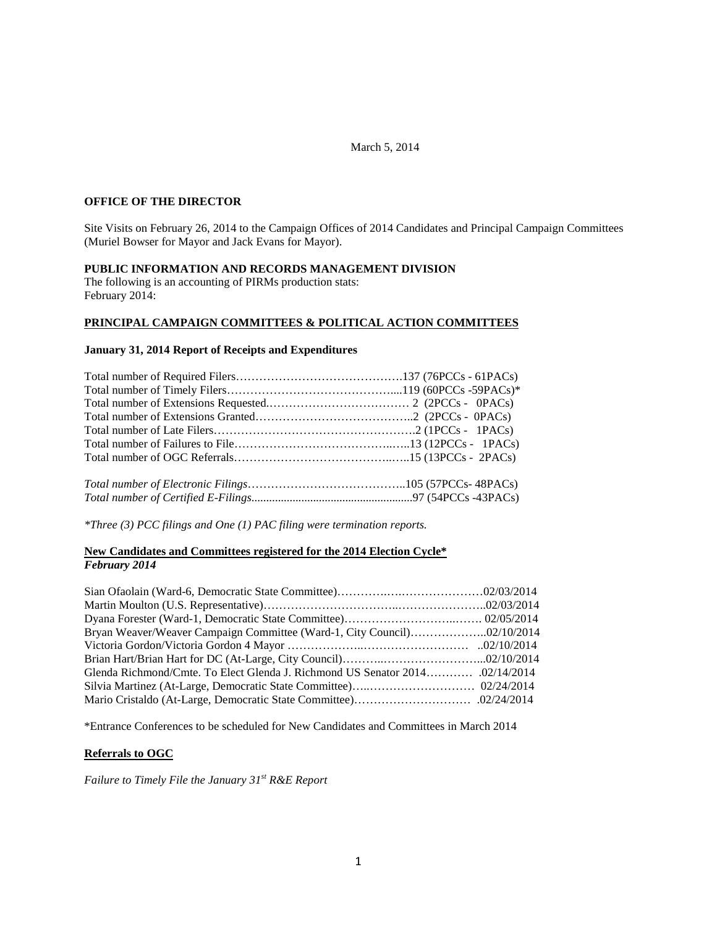### March 5, 2014

### **OFFICE OF THE DIRECTOR**

Site Visits on February 26, 2014 to the Campaign Offices of 2014 Candidates and Principal Campaign Committees (Muriel Bowser for Mayor and Jack Evans for Mayor).

#### **PUBLIC INFORMATION AND RECORDS MANAGEMENT DIVISION**

The following is an accounting of PIRMs production stats: February 2014:

## **PRINCIPAL CAMPAIGN COMMITTEES & POLITICAL ACTION COMMITTEES**

#### **January 31, 2014 Report of Receipts and Expenditures**

*\*Three (3) PCC filings and One (1) PAC filing were termination reports.* 

### **New Candidates and Committees registered for the 2014 Election Cycle\*** *February 2014*

\*Entrance Conferences to be scheduled for New Candidates and Committees in March 2014

### **Referrals to OGC**

*Failure to Timely File the January 31st R&E Report*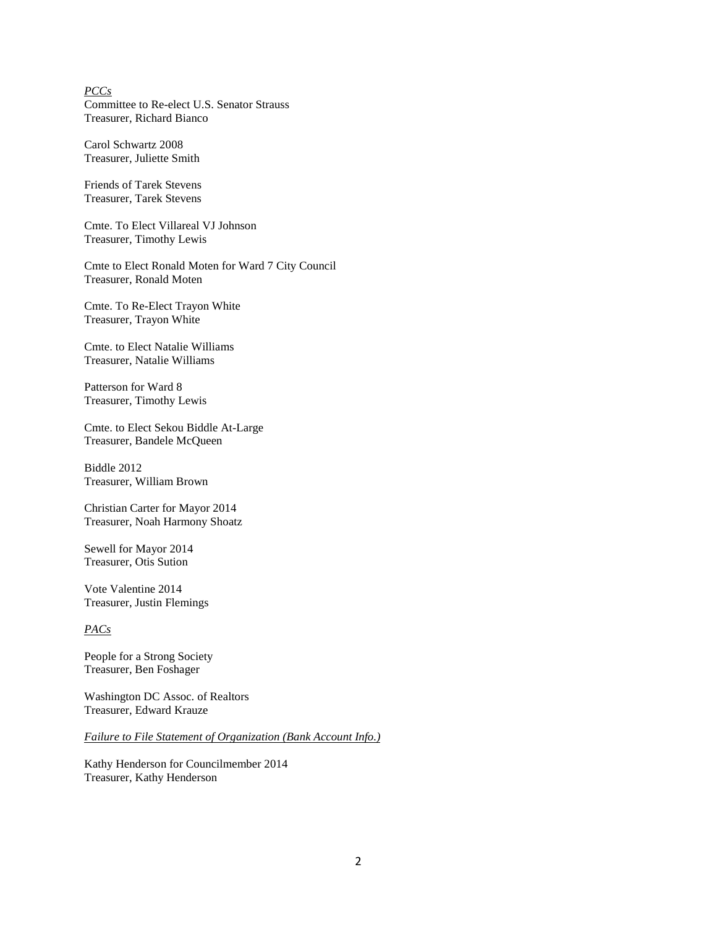### *PCCs* Committee to Re-elect U.S. Senator Strauss Treasurer, Richard Bianco

Carol Schwartz 2008 Treasurer, Juliette Smith

Friends of Tarek Stevens Treasurer, Tarek Stevens

Cmte. To Elect Villareal VJ Johnson Treasurer, Timothy Lewis

Cmte to Elect Ronald Moten for Ward 7 City Council Treasurer, Ronald Moten

Cmte. To Re-Elect Trayon White Treasurer, Trayon White

Cmte. to Elect Natalie Williams Treasurer, Natalie Williams

Patterson for Ward 8 Treasurer, Timothy Lewis

Cmte. to Elect Sekou Biddle At-Large Treasurer, Bandele McQueen

Biddle 2012 Treasurer, William Brown

Christian Carter for Mayor 2014 Treasurer, Noah Harmony Shoatz

Sewell for Mayor 2014 Treasurer, Otis Sution

Vote Valentine 2014 Treasurer, Justin Flemings

#### *PACs*

People for a Strong Society Treasurer, Ben Foshager

Washington DC Assoc. of Realtors Treasurer, Edward Krauze

*Failure to File Statement of Organization (Bank Account Info.)*

Kathy Henderson for Councilmember 2014 Treasurer, Kathy Henderson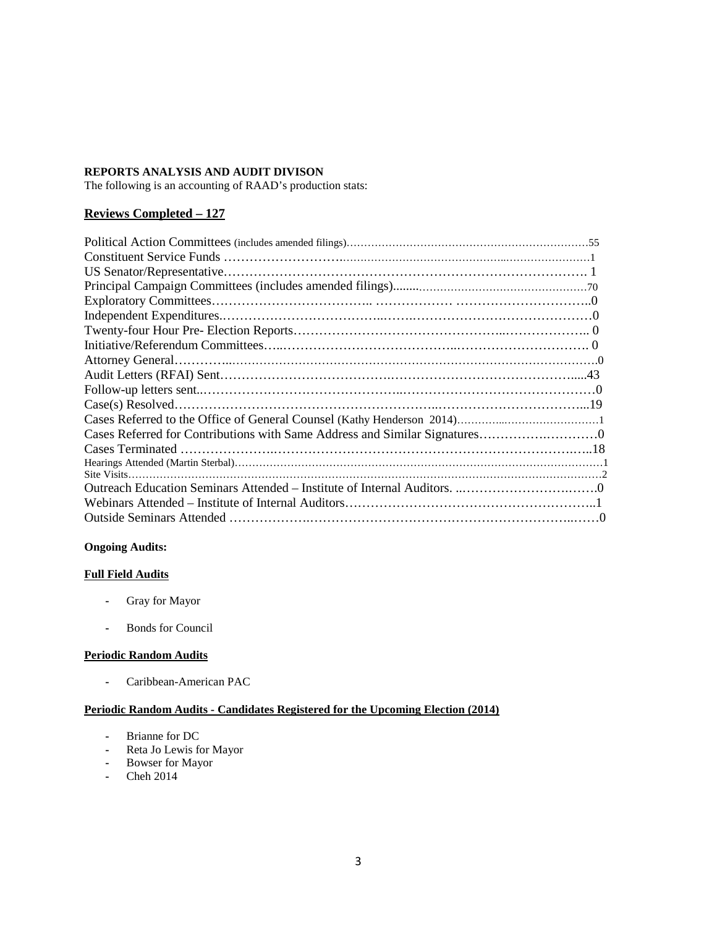### **REPORTS ANALYSIS AND AUDIT DIVISON**

The following is an accounting of RAAD's production stats:

## **Reviews Completed – 127**

## **Ongoing Audits:**

### **Full Field Audits**

- **-** Gray for Mayor
- **-** Bonds for Council

### **Periodic Random Audits**

**-** Caribbean-American PAC

### **Periodic Random Audits - Candidates Registered for the Upcoming Election (2014)**

- **-** Brianne for DC
- **-** Reta Jo Lewis for Mayor
- **-** Bowser for Mayor
- **-** Cheh 2014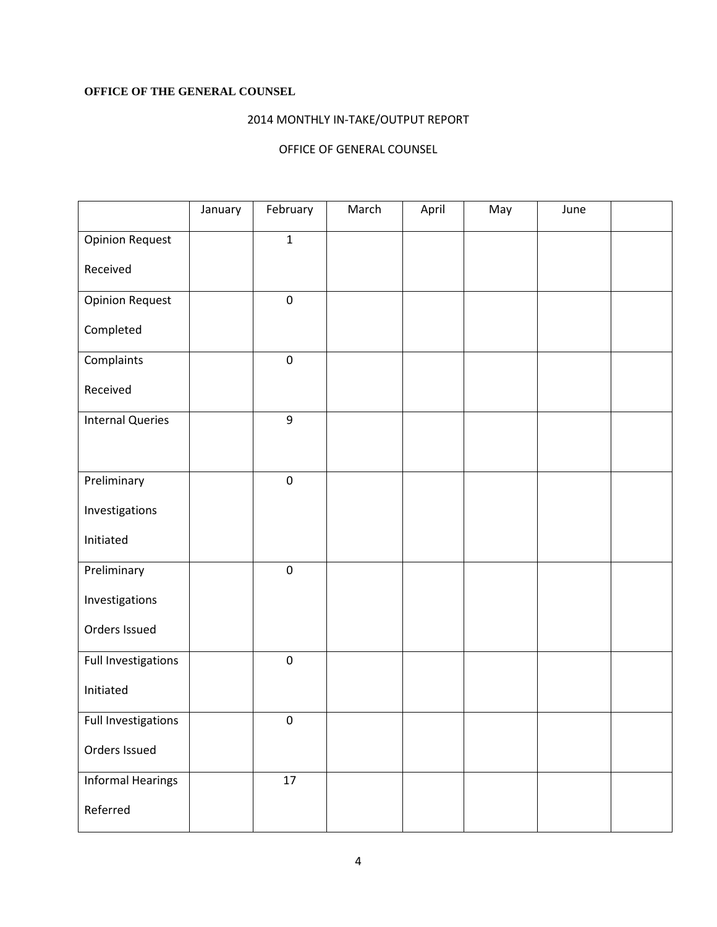# **OFFICE OF THE GENERAL COUNSEL**

# 2014 MONTHLY IN-TAKE/OUTPUT REPORT

# OFFICE OF GENERAL COUNSEL

|                          | January | February         | March | April | May | June |  |
|--------------------------|---------|------------------|-------|-------|-----|------|--|
| <b>Opinion Request</b>   |         | $\mathbf 1$      |       |       |     |      |  |
| Received                 |         |                  |       |       |     |      |  |
| <b>Opinion Request</b>   |         | $\mathbf 0$      |       |       |     |      |  |
| Completed                |         |                  |       |       |     |      |  |
| Complaints               |         | $\pmb{0}$        |       |       |     |      |  |
| Received                 |         |                  |       |       |     |      |  |
| <b>Internal Queries</b>  |         | 9                |       |       |     |      |  |
|                          |         |                  |       |       |     |      |  |
| Preliminary              |         | $\pmb{0}$        |       |       |     |      |  |
| Investigations           |         |                  |       |       |     |      |  |
| Initiated                |         |                  |       |       |     |      |  |
| Preliminary              |         | $\mathbf 0$      |       |       |     |      |  |
| Investigations           |         |                  |       |       |     |      |  |
| Orders Issued            |         |                  |       |       |     |      |  |
| Full Investigations      |         | $\pmb{0}$        |       |       |     |      |  |
| Initiated                |         |                  |       |       |     |      |  |
| Full Investigations      |         | $\boldsymbol{0}$ |       |       |     |      |  |
| Orders Issued            |         |                  |       |       |     |      |  |
| <b>Informal Hearings</b> |         | 17               |       |       |     |      |  |
| Referred                 |         |                  |       |       |     |      |  |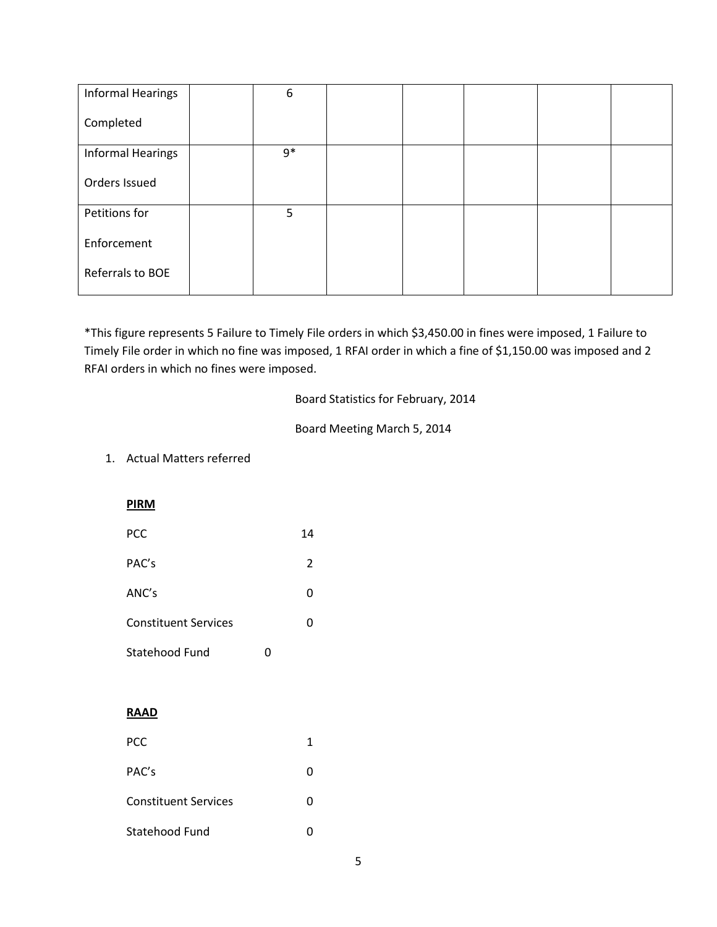| <b>Informal Hearings</b> | 6    |  |  |  |
|--------------------------|------|--|--|--|
| Completed                |      |  |  |  |
| <b>Informal Hearings</b> | $9*$ |  |  |  |
| Orders Issued            |      |  |  |  |
| Petitions for            | 5    |  |  |  |
| Enforcement              |      |  |  |  |
| Referrals to BOE         |      |  |  |  |

\*This figure represents 5 Failure to Timely File orders in which \$3,450.00 in fines were imposed, 1 Failure to Timely File order in which no fine was imposed, 1 RFAI order in which a fine of \$1,150.00 was imposed and 2 RFAI orders in which no fines were imposed.

Board Statistics for February, 2014

Board Meeting March 5, 2014

# 1. Actual Matters referred

**PIRM**

| <b>PCC</b>                  | 14             |  |
|-----------------------------|----------------|--|
| PAC's                       | $\overline{2}$ |  |
| ANC's                       | 0              |  |
| <b>Constituent Services</b> | 0              |  |
| Statehood Fund              |                |  |

## **RAAD**

| <b>PCC</b>                  |   |
|-----------------------------|---|
| PAC's                       | 0 |
| <b>Constituent Services</b> | 0 |
| Statehood Fund              |   |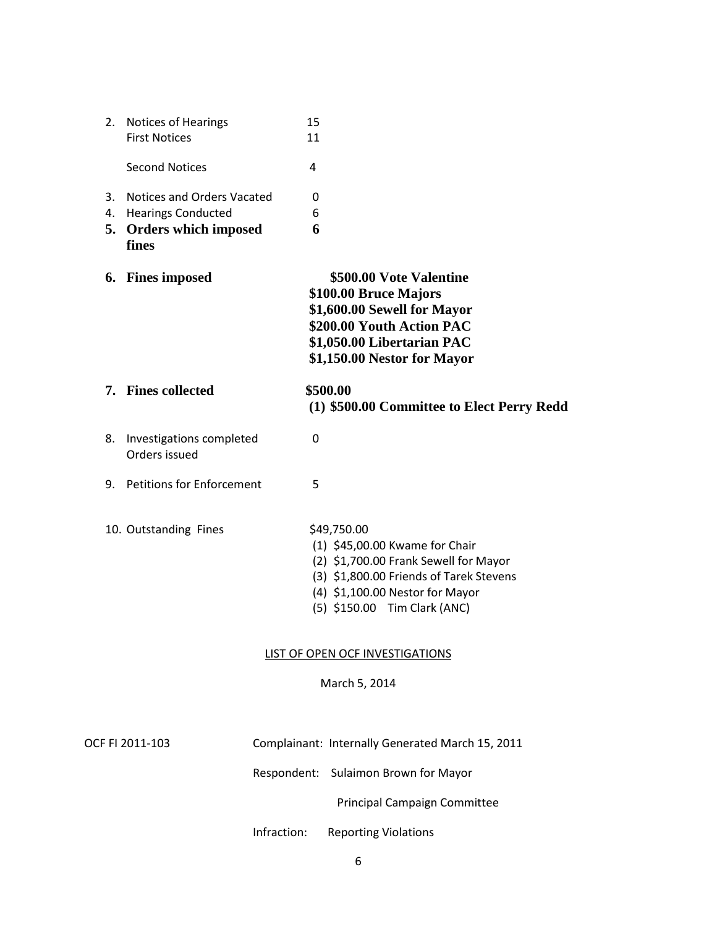| 2.             | <b>Notices of Hearings</b><br><b>First Notices</b>                                              | 15<br>11    |                                                                                                                                                                                                      |
|----------------|-------------------------------------------------------------------------------------------------|-------------|------------------------------------------------------------------------------------------------------------------------------------------------------------------------------------------------------|
|                | <b>Second Notices</b>                                                                           | 4           |                                                                                                                                                                                                      |
| 3.<br>4.<br>5. | Notices and Orders Vacated<br><b>Hearings Conducted</b><br><b>Orders which imposed</b><br>fines | 0<br>6<br>6 |                                                                                                                                                                                                      |
|                | 6. Fines imposed                                                                                |             | \$500.00 Vote Valentine<br>\$100.00 Bruce Majors<br>\$1,600.00 Sewell for Mayor<br>\$200.00 Youth Action PAC<br>\$1,050.00 Libertarian PAC<br>\$1,150.00 Nestor for Mayor                            |
|                | 7. Fines collected                                                                              |             | \$500.00<br>(1) \$500.00 Committee to Elect Perry Redd                                                                                                                                               |
| 8.             | Investigations completed<br>Orders issued                                                       | 0           |                                                                                                                                                                                                      |
| 9.             | <b>Petitions for Enforcement</b>                                                                | 5           |                                                                                                                                                                                                      |
|                | 10. Outstanding Fines                                                                           |             | \$49,750.00<br>(1) \$45,00.00 Kwame for Chair<br>(2) \$1,700.00 Frank Sewell for Mayor<br>(3) \$1,800.00 Friends of Tarek Stevens<br>(4) \$1,100.00 Nestor for Mayor<br>(5) \$150.00 Tim Clark (ANC) |
|                |                                                                                                 |             | <b>LIST OF OPEN OCF INVESTIGATIONS</b><br>March 5, 2014                                                                                                                                              |
|                | OCF FI 2011-103                                                                                 | Respondent: | Complainant: Internally Generated March 15, 2011<br>Sulaimon Brown for Mayor                                                                                                                         |
|                |                                                                                                 | Infraction: | Principal Campaign Committee<br><b>Reporting Violations</b>                                                                                                                                          |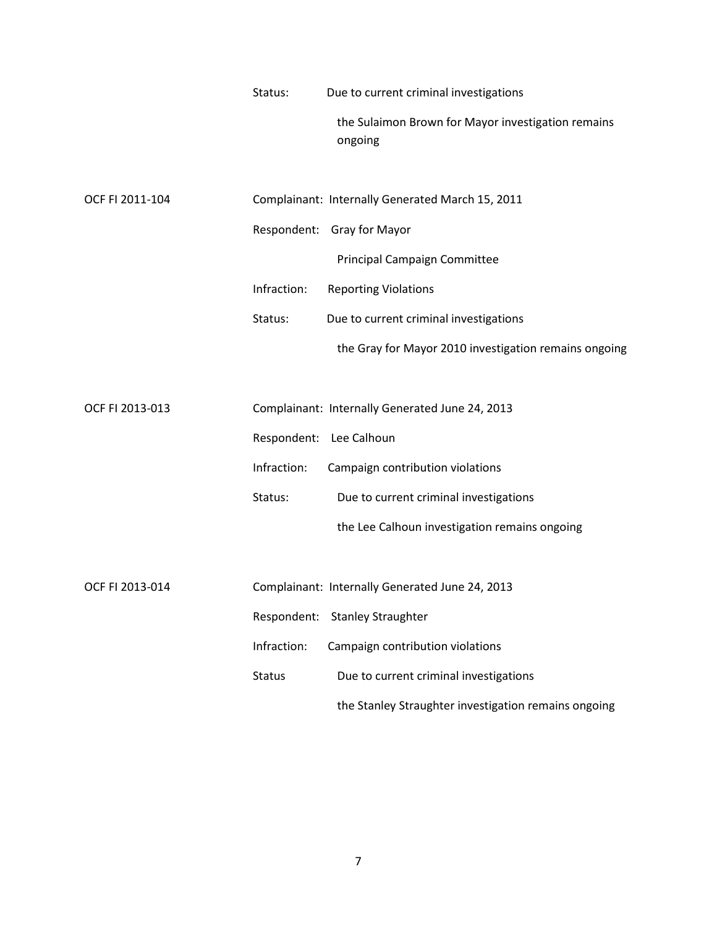| Status: | Due to current criminal investigations             |
|---------|----------------------------------------------------|
|         | the Sulaimon Brown for Mayor investigation remains |
|         | ongoing                                            |

| OCF FI 2011-104 |             | Complainant: Internally Generated March 15, 2011      |
|-----------------|-------------|-------------------------------------------------------|
|                 |             | Respondent: Gray for Mayor                            |
|                 |             | <b>Principal Campaign Committee</b>                   |
|                 | Infraction: | <b>Reporting Violations</b>                           |
|                 | Status:     | Due to current criminal investigations                |
|                 |             | the Gray for Mayor 2010 investigation remains ongoing |
|                 |             |                                                       |

| OCF FI 2013-013 |             | Complainant: Internally Generated June 24, 2013 |
|-----------------|-------------|-------------------------------------------------|
|                 |             | Respondent: Lee Calhoun                         |
|                 | Infraction: | Campaign contribution violations                |
|                 | Status:     | Due to current criminal investigations          |
|                 |             | the Lee Calhoun investigation remains ongoing   |
|                 |             |                                                 |
| OCF FI 2013-014 |             | Complainant: Internally Generated June 24, 2013 |

|               | Respondent: Stanley Straughter                       |
|---------------|------------------------------------------------------|
| Infraction:   | Campaign contribution violations                     |
| <b>Status</b> | Due to current criminal investigations               |
|               | the Stanley Straughter investigation remains ongoing |